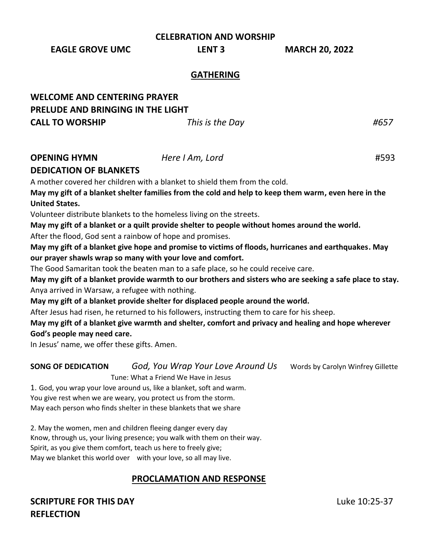**CELEBRATION AND WORSHIP**

**EAGLE GROVE UMC LENT 3 MARCH 20, 2022**

#### **GATHERING**

| <b>WELCOME AND CENTERING PRAYER</b> |                 |      |
|-------------------------------------|-----------------|------|
| PRELUDE AND BRINGING IN THE LIGHT   |                 |      |
| <b>CALL TO WORSHIP</b>              | This is the Day | #657 |

#### **OPENING HYMN** *Here I Am, Lord* #593

#### **DEDICATION OF BLANKETS**

A mother covered her children with a blanket to shield them from the cold. **May my gift of a blanket shelter families from the cold and help to keep them warm, even here in the United States.**

Volunteer distribute blankets to the homeless living on the streets.

**May my gift of a blanket or a quilt provide shelter to people without homes around the world.** After the flood, God sent a rainbow of hope and promises.

**May my gift of a blanket give hope and promise to victims of floods, hurricanes and earthquakes. May our prayer shawls wrap so many with your love and comfort.** 

The Good Samaritan took the beaten man to a safe place, so he could receive care.

**May my gift of a blanket provide warmth to our brothers and sisters who are seeking a safe place to stay.** Anya arrived in Warsaw, a refugee with nothing.

**May my gift of a blanket provide shelter for displaced people around the world.**

After Jesus had risen, he returned to his followers, instructing them to care for his sheep.

**May my gift of a blanket give warmth and shelter, comfort and privacy and healing and hope wherever** 

**God's people may need care.**

In Jesus' name, we offer these gifts. Amen.

**SONG OF DEDICATION** *God, You Wrap Your Love Around Us* words by Carolyn Winfrey Gillette Tune: What a Friend We Have in Jesus

1. God, you wrap your love around us, like a blanket, soft and warm. You give rest when we are weary, you protect us from the storm. May each person who finds shelter in these blankets that we share

2. May the women, men and children fleeing danger every day Know, through us, your living presence; you walk with them on their way. Spirit, as you give them comfort, teach us here to freely give; May we blanket this world over with your love, so all may live.

### **PROCLAMATION AND RESPONSE**

# **SCRIPTURE FOR THIS DAY** Luke 10:25-37 **REFLECTION**